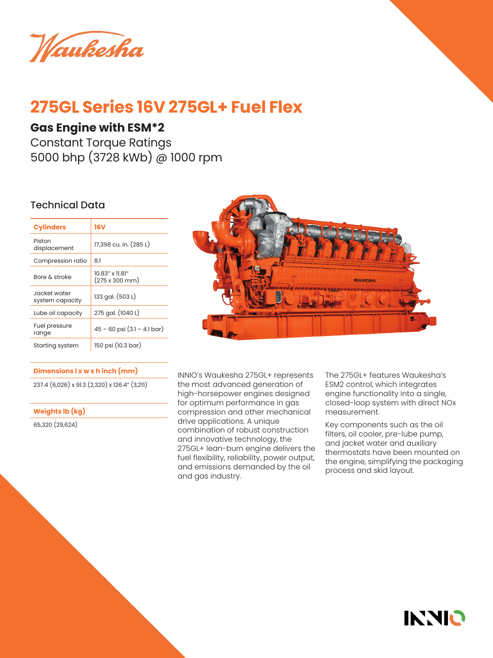Waukesha

# **275GL Series 16V 275GL+ Fuel Flex**

### **Gas Engine with ESM\*2**

Constant Torque Ratings 5000 bhp (3728 kWb) @ 1000 rpm

### Technical Data

| <b>Cylinders</b>                | 16V                               |
|---------------------------------|-----------------------------------|
| Piston<br>displacement          | 17,398 cu. in. (285 L)            |
| Compression ratio               | 8:1                               |
| Bore & stroke                   | 10.83" x 11.81"<br>(275 x 300 mm) |
| Jacket water<br>system capacity | 133 gal. (503 L)                  |
| Lube oil capacity               | 275 gal. (1040 L)                 |
| Fuel pressure<br>range          | $45 - 60$ psi $(3.1 - 4.1$ bar)   |
| Starting system                 | 150 psi (10.3 bar)                |

### **Dimensions l x w x h inch (mm)**

237.4 (6,026) x 91.3 (2,320) x 126.4" (3,211)

**Weights lb (kg)**

65,320 (29,624)



INNIO's Waukesha 275GL+ represents the most advanced generation of high-horsepower engines designed for optimum performance in gas compression and other mechanical drive applications. A unique combination of robust construction and innovative technology, the 275GL+ lean-burn engine delivers the fuel flexibility, reliability, power output, and emissions demanded by the oil and gas industry.

The 275GL+ features Waukesha's ESM2 control, which integrates engine functionality into a single, closed-loop system with direct NOx measurement.

Key components such as the oil filters, oil cooler, pre-lube pump, and jacket water and auxiliary thermostats have been mounted on the engine, simplifying the packaging process and skid layout.